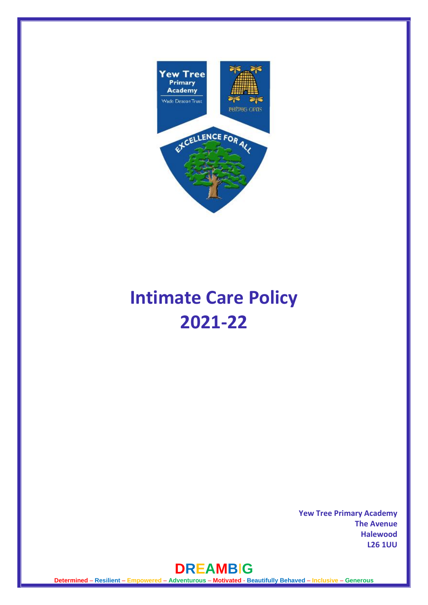

# **Intimate Care Policy 2021-22**

**Yew Tree Primary Academy The Avenue Halewood L26 1UU** 

# **DREAMB**I**G**

**Determined** – **Resilient** – **Empowered** – **Adventurous** – **Motivated** - **Beautifully Behaved** – **Inclusive** – **Generous**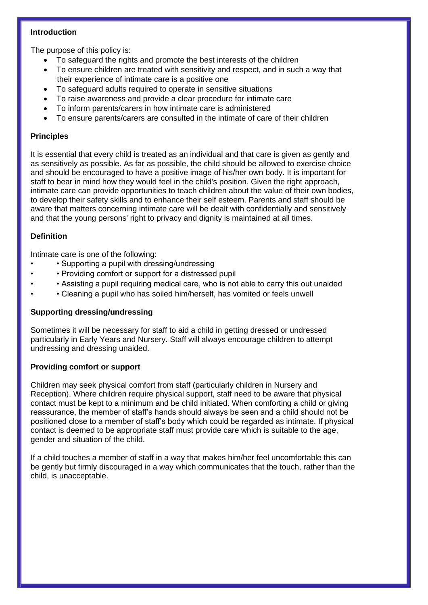# **Introduction**

The purpose of this policy is:

- To safeguard the rights and promote the best interests of the children
- To ensure children are treated with sensitivity and respect, and in such a way that their experience of intimate care is a positive one
- To safeguard adults required to operate in sensitive situations
- To raise awareness and provide a clear procedure for intimate care
- To inform parents/carers in how intimate care is administered
- To ensure parents/carers are consulted in the intimate of care of their children

# **Principles**

It is essential that every child is treated as an individual and that care is given as gently and as sensitively as possible. As far as possible, the child should be allowed to exercise choice and should be encouraged to have a positive image of his/her own body. It is important for staff to bear in mind how they would feel in the child's position. Given the right approach, intimate care can provide opportunities to teach children about the value of their own bodies, to develop their safety skills and to enhance their self esteem. Parents and staff should be aware that matters concerning intimate care will be dealt with confidentially and sensitively and that the young persons' right to privacy and dignity is maintained at all times.

# **Definition**

Intimate care is one of the following:

- • Supporting a pupil with dressing/undressing
- • Providing comfort or support for a distressed pupil
- • Assisting a pupil requiring medical care, who is not able to carry this out unaided
- • Cleaning a pupil who has soiled him/herself, has vomited or feels unwell

# **Supporting dressing/undressing**

Sometimes it will be necessary for staff to aid a child in getting dressed or undressed particularly in Early Years and Nursery. Staff will always encourage children to attempt undressing and dressing unaided.

# **Providing comfort or support**

Children may seek physical comfort from staff (particularly children in Nursery and Reception). Where children require physical support, staff need to be aware that physical contact must be kept to a minimum and be child initiated. When comforting a child or giving reassurance, the member of staff's hands should always be seen and a child should not be positioned close to a member of staff's body which could be regarded as intimate. If physical contact is deemed to be appropriate staff must provide care which is suitable to the age, gender and situation of the child.

If a child touches a member of staff in a way that makes him/her feel uncomfortable this can be gently but firmly discouraged in a way which communicates that the touch, rather than the child, is unacceptable.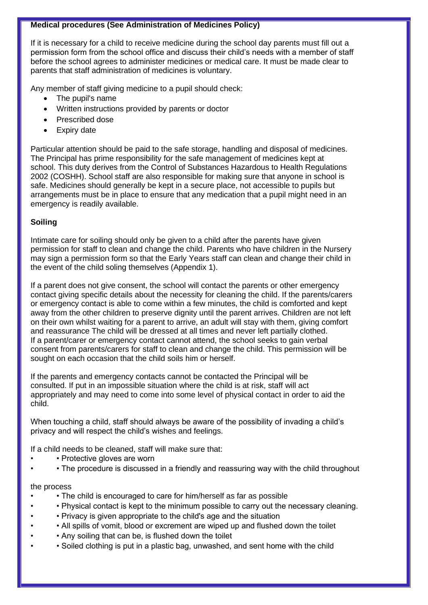# **Medical procedures (See Administration of Medicines Policy)**

If it is necessary for a child to receive medicine during the school day parents must fill out a permission form from the school office and discuss their child's needs with a member of staff before the school agrees to administer medicines or medical care. It must be made clear to parents that staff administration of medicines is voluntary.

Any member of staff giving medicine to a pupil should check:

- The pupil's name
- Written instructions provided by parents or doctor
- Prescribed dose
- Expiry date

Particular attention should be paid to the safe storage, handling and disposal of medicines. The Principal has prime responsibility for the safe management of medicines kept at school. This duty derives from the Control of Substances Hazardous to Health Regulations 2002 (COSHH). School staff are also responsible for making sure that anyone in school is safe. Medicines should generally be kept in a secure place, not accessible to pupils but arrangements must be in place to ensure that any medication that a pupil might need in an emergency is readily available.

# **Soiling**

Intimate care for soiling should only be given to a child after the parents have given permission for staff to clean and change the child. Parents who have children in the Nursery may sign a permission form so that the Early Years staff can clean and change their child in the event of the child soling themselves (Appendix 1).

If a parent does not give consent, the school will contact the parents or other emergency contact giving specific details about the necessity for cleaning the child. If the parents/carers or emergency contact is able to come within a few minutes, the child is comforted and kept away from the other children to preserve dignity until the parent arrives. Children are not left on their own whilst waiting for a parent to arrive, an adult will stay with them, giving comfort and reassurance The child will be dressed at all times and never left partially clothed. If a parent/carer or emergency contact cannot attend, the school seeks to gain verbal consent from parents/carers for staff to clean and change the child. This permission will be sought on each occasion that the child soils him or herself.

If the parents and emergency contacts cannot be contacted the Principal will be consulted. If put in an impossible situation where the child is at risk, staff will act appropriately and may need to come into some level of physical contact in order to aid the child.

When touching a child, staff should always be aware of the possibility of invading a child's privacy and will respect the child's wishes and feelings.

If a child needs to be cleaned, staff will make sure that:

- Protective gloves are worn
- The procedure is discussed in a friendly and reassuring way with the child throughout

# the process

- • The child is encouraged to care for him/herself as far as possible
- • Physical contact is kept to the minimum possible to carry out the necessary cleaning.
- • Privacy is given appropriate to the child's age and the situation
- • All spills of vomit, blood or excrement are wiped up and flushed down the toilet
- • Any soiling that can be, is flushed down the toilet
- • Soiled clothing is put in a plastic bag, unwashed, and sent home with the child